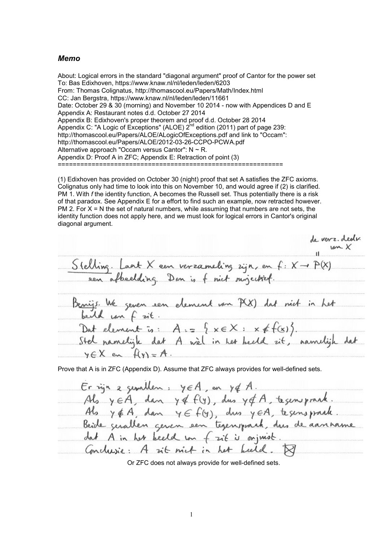### *Memo*

About: Logical errors in the standard "diagonal argument" proof of Cantor for the power set To: Bas Edixhoven, https://www.knaw.nl/nl/leden/leden/6203 From: Thomas Colignatus, http://thomascool.eu/Papers/Math/Index.html CC: Jan Bergstra, https://www.knaw.nl/nl/leden/leden/11661 Date: October 29 & 30 (morning) and November 10 2014 - now with Appendices D and E Appendix A: Restaurant notes d.d. October 27 2014 Appendix B: Edixhoven's proper theorem and proof d.d. October 28 2014 Appendix C: "A Logic of Exceptions" (ALOE)  $2^{nd}$  edition (2011) part of page 239: http://thomascool.eu/Papers/ALOE/ALogicOfExceptions.pdf and link to "Occam": http://thomascool.eu/Papers/ALOE/2012-03-26-CCPO-PCWA.pdf Alternative approach "Occam versus Cantor":  $N \sim R$ . Appendix D: Proof A in ZFC; Appendix E: Retraction of point (3) ============================================================

(1) Edixhoven has provided on October 30 (night) proof that set A satisfies the ZFC axioms. Colignatus only had time to look into this on November 10, and would agree if (2) is clarified. PM 1. With *f* the identity function, A becomes the Russell set. Thus potentially there is a risk of that paradox. See Appendix E for a effort to find such an example, now retracted however. PM 2. For  $X = N$  the set of natural numbers, while assuming that numbers are not sets, the identity function does not apply here, and we must look for logical errors in Cantor's original diagonal argument.

de verz. dedir.<br>Isn X Stelling. Laat X een verzameling zijn, en  $f: X \rightarrow P(X)$ sen afbeelding. Dan is f nict surjectief. Benijs We zeven een element van P(X) dat niet in het<br>bertel van f zit.<br>Dat element is: A := { x E X : x & f(x)}.<br>Stel namelijk dat A wèl in het beeld zit, namelijk dat  $y \in X$  en  $f(y) = A$ .

Prove that A is in ZFC (Appendix D). Assume that ZFC always provides for well-defined sets.

 $Er$  ign a genallen:  $y \in A$ , on  $y \notin A$ . Als yEA, dan y& f(y), dus y& A, tegenspraak. Als y & A, dan y E f(y), dus y EA, te sens praale. Beide gerallen geven een tegensprach, dus de aanname dat A in her beeld ion frit is onjuist. Conclusie: A sit nict in het beeld.

Or ZFC does not always provide for well-defined sets.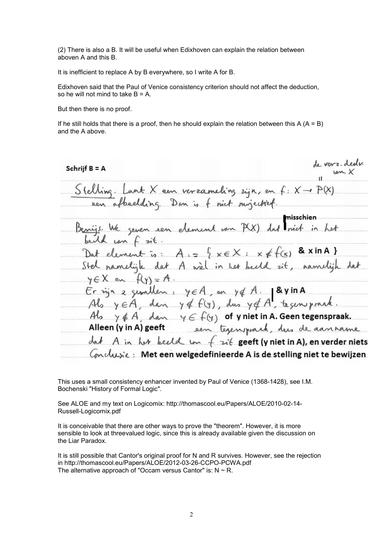(2) There is also a B. It will be useful when Edixhoven can explain the relation between aboven A and this B.

It is inefficient to replace A by B everywhere, so I write A for B.

Edixhoven said that the Paul of Venice consistency criterion should not affect the deduction, so he will not mind to take  $B = A$ .

But then there is no proof.

If he still holds that there is a proof, then he should explain the relation between this  $A (A = B)$ and the A above.

Schriif B = A Stelling. Laat X een verzameling zijn, en  $f: X \rightarrow P(X)$ sen afbeelding. Dan is f mit suizertief misschien Benijs We geven een element van P(X) Dat element is:  $A = \frac{1}{2} \times \in X : x \notin f(x)$  & xin A } namelijk dat A wel in her bedd it, namelijk  $y \in X$  en  $f(y) = A$ . Érign a gemillen, yEA, en yEA. ByinA<br>Als yEA, dan y&f(y), dus y&A, tegensprack. Als  $y \notin A$ , dan  $y \in f(y)$  of y niet in A. Geen tegenspraak. Alleen (y in A) geeft sen tegensprach, dus de aanname dat A in her keeld in f zit geeft (y niet in A), en verder niets Conclusie: Met een welgedefinieerde A is de stelling niet te bewijzen.

This uses a small consistency enhancer invented by Paul of Venice (1368-1428), see I.M. Bochenski "History of Formal Logic".

See ALOE and my text on Logicomix: http://thomascool.eu/Papers/ALOE/2010-02-14- Russell-Logicomix.pdf

It is conceivable that there are other ways to prove the "theorem". However, it is more sensible to look at threevalued logic, since this is already available given the discussion on the Liar Paradox.

It is still possible that Cantor's original proof for N and R survives. However, see the rejection in http://thomascool.eu/Papers/ALOE/2012-03-26-CCPO-PCWA.pdf The alternative approach of "Occam versus Cantor" is:  $N \sim R$ .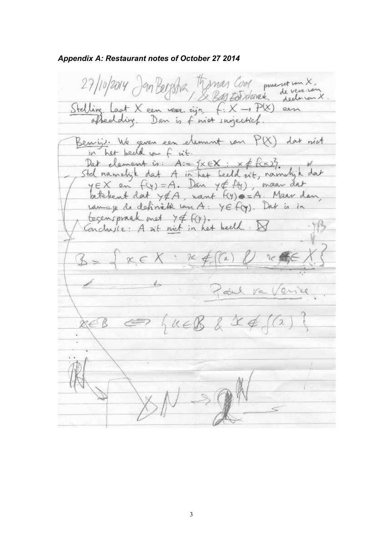*Appendix A: Restaurant notes of October 27 2014*

27/10/2014 Jan Bergstra, Tymas Cool powerset son X Stelling Laat X een vers. rijn f: X -> P(X)<br>ofbeddig. Dan is f niet surjectich. Beniji. We geven een element van P(X) dat nict her beild un  $u$ Dat element is:  $A:=\{\times \in X:$ Std namelijk dat A in het beeld zit, namelijk dat  $y \in X$  en  $f(y) = A$ . Dan  $y \notin f(y)$ , maar dat betelent dat y&A, want f(y) == A. Maar dan ramage de definitie van A: YE f(y). Dat is in tegenspraak met 74 f(Y).<br>Conclusie: A zit niet in het heeld  $26$ Ful  $\circ$ Ve  $u \in \mathcal{K}$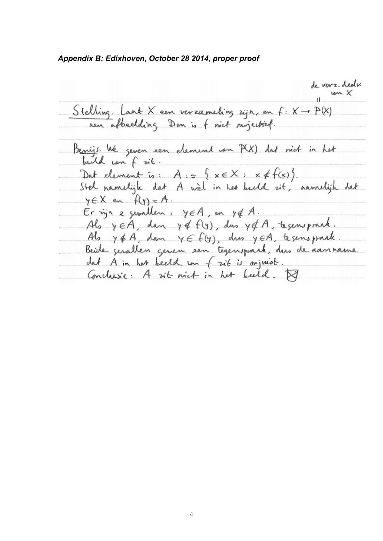*Appendix B: Edixhoven, October 28 2014, proper proof*

de verz. dedi.  $um X$ Stelling. Laat X een verzameling zijn, en  $f: X \rightarrow P(X)$ sen afbeelding. Dan is f nict surjection. Benijs. We geven een element van P(X) dat niet in het beild can f sit. Dat element is:  $A = \{x \in X : x \notin f(x)\}.$ Stel namelijk dat A wel in her beeld sit, namelijk dat  $y \in X$  en  $f(y) = A$ .  $Er$  ign a genallen:  $y \in A$ , on  $y \notin A$ . Als yEA, dan y& f(y), dus y&A, tegenspraak. Als  $y \notin A$ , dan  $y \in f(y)$ , dus  $y \in A$ , tegenspraak. Beide gerallen geren een tegensprach, dus de aanname dat A in her keeld in f zit is onjuist. Conclusie: A sit nict in het beeld.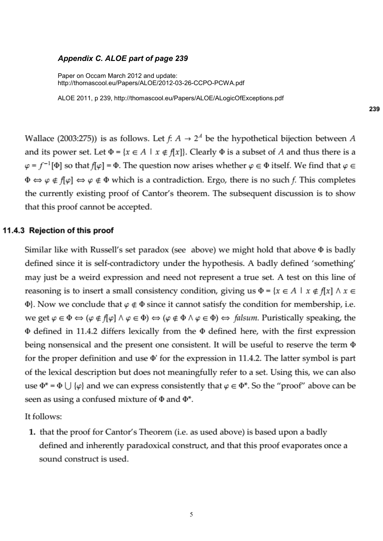### *Appendix C. ALOE part of page 239*

Paper on Occam March 2012 and update: http://thomascool.eu/Papers/ALOE/2012-03-26-CCPO-PCWA.pdf

ALOE 2011, p 239, http://thomascool.eu/Papers/ALOE/ALogicOfExceptions.pdf

Wallace (2003:275)) is as follows. Let  $f: A \rightarrow 2^A$  be the hypothetical bijection between A and its power set. Let  $\Phi = \{x \in A \mid x \notin f[x]\}\$ . Clearly  $\Phi$  is a subset of A and thus there is a  $\varphi = f^{-1}[\Phi]$  so that  $f[\varphi] = \Phi$ . The question now arises whether  $\varphi \in \Phi$  itself. We find that  $\varphi \in \Phi$  $\Phi \Leftrightarrow \varphi \notin f[\varphi] \Leftrightarrow \varphi \notin \Phi$  which is a contradiction. Ergo, there is no such f. This completes the currently existing proof of Cantor's theorem. The subsequent discussion is to show that this proof cannot be accepted.

## 11.4.3 Rejection of this proof

Similar like with Russell's set paradox (see above) we might hold that above  $\Phi$  is badly defined since it is self-contradictory under the hypothesis. A badly defined 'something' may just be a weird expression and need not represent a true set. A test on this line of reasoning is to insert a small consistency condition, giving us  $\Phi = \{x \in A \mid x \notin f[x] \land x \in$  $\Phi$ . Now we conclude that  $\varphi \notin \Phi$  since it cannot satisfy the condition for membership, i.e. we get  $\varphi \in \Phi \Leftrightarrow (\varphi \notin f[\varphi] \land \varphi \in \Phi) \Leftrightarrow (\varphi \notin \Phi \land \varphi \in \Phi) \Leftrightarrow \text{ falsum. Puristically speaking, the }$  $\Phi$  defined in 11.4.2 differs lexically from the  $\Phi$  defined here, with the first expression being nonsensical and the present one consistent. It will be useful to reserve the term  $\Phi$ for the proper definition and use  $\Phi$ ' for the expression in 11.4.2. The latter symbol is part of the lexical description but does not meaningfully refer to a set. Using this, we can also use  $\Phi^* = \Phi \cup {\varphi}$  and we can express consistently that  $\varphi \in \Phi^*$ . So the "proof" above can be seen as using a confused mixture of  $\Phi$  and  $\Phi^*$ .

It follows:

1. that the proof for Cantor's Theorem (i.e. as used above) is based upon a badly defined and inherently paradoxical construct, and that this proof evaporates once a sound construct is used.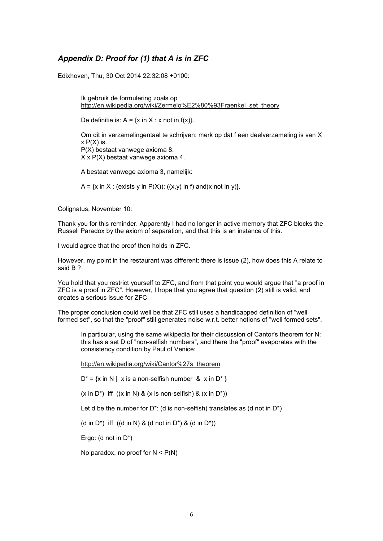# *Appendix D: Proof for (1) that A is in ZFC*

Edixhoven, Thu, 30 Oct 2014 22:32:08 +0100:

Ik gebruik de formulering zoals op http://en.wikipedia.org/wiki/Zermelo%E2%80%93Fraenkel\_set\_theory

De definitie is:  $A = \{x \in X : x \text{ not in } f(x)\}.$ 

Om dit in verzamelingentaal te schrijven: merk op dat f een deelverzameling is van X  $x P(X)$  is. P(X) bestaat vanwege axioma 8. X x P(X) bestaat vanwege axioma 4.

A bestaat vanwege axioma 3, namelijk:

A =  $\{x \in X : (exists y \in P(X)) : ((x,y) \in P(x) \}$ .

Colignatus, November 10:

Thank you for this reminder. Apparently I had no longer in active memory that ZFC blocks the Russell Paradox by the axiom of separation, and that this is an instance of this.

I would agree that the proof then holds in ZFC.

However, my point in the restaurant was different: there is issue (2), how does this A relate to said B ?

You hold that you restrict yourself to ZFC, and from that point you would argue that "a proof in ZFC is a proof in ZFC". However, I hope that you agree that question (2) still is valid, and creates a serious issue for ZFC.

The proper conclusion could well be that ZFC still uses a handicapped definition of "well formed set", so that the "proof" still generates noise w.r.t. better notions of "well formed sets".

In particular, using the same wikipedia for their discussion of Cantor's theorem for N: this has a set D of "non-selfish numbers", and there the "proof" evaporates with the consistency condition by Paul of Venice:

http://en.wikipedia.org/wiki/Cantor%27s\_theorem

 $D^* = \{x \in N \mid x \text{ is a non-selfish number } \& x \text{ in } D^*\}$ 

 $(x \text{ in } D^*)$  iff  $((x \text{ in } N) \& (x \text{ is non-selfish}) \& (x \text{ in } D^*))$ 

Let d be the number for  $D^*$ : (d is non-selfish) translates as (d not in  $D^*$ )

(d in D<sup>\*</sup>) iff  $((d \text{ in } N) \& (d \text{ not in } D^*) \& (d \text{ in } D^*))$ 

Ergo: (d not in D\*)

No paradox, no proof for  $N < P(N)$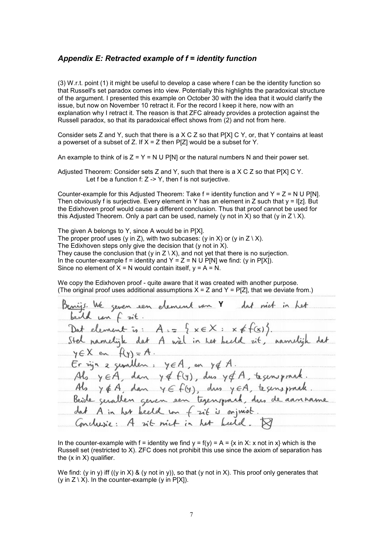## *Appendix E: Retracted example of f = identity function*

(3) W.r.t. point (1) it might be useful to develop a case where f can be the identity function so that Russell's set paradox comes into view. Potentially this highlights the paradoxical structure of the argument. I presented this example on October 30 with the idea that it would clarify the issue, but now on November 10 retract it. For the record I keep it here, now with an explanation why I retract it. The reason is that ZFC already provides a protection against the Russell paradox, so that its paradoxical effect shows from (2) and not from here.

Consider sets Z and Y, such that there is a X C Z so that P[X] C Y, or, that Y contains at least a powerset of a subset of Z. If  $X = Z$  then P[Z] would be a subset for Y.

An example to think of is  $Z = Y = N U P[N]$  or the natural numbers N and their power set.

Adjusted Theorem: Consider sets Z and Y, such that there is a X C Z so that P[X] C Y. Let f be a function f:  $Z \rightarrow Y$ , then f is not surjective.

Counter-example for this Adjusted Theorem: Take  $f =$  identity function and  $Y = Z = N U P[N]$ . Then obviously f is surjective. Every element in Y has an element in Z such that  $y = |z|$ . But the Edixhoven proof would cause a different conclusion. Thus that proof cannot be used for this Adjusted Theorem. Only a part can be used, namely (y not in X) so that (y in  $Z \setminus X$ ).

The given A belongs to Y, since A would be in P[X]. The proper proof uses (y in Z), with two subcases: (y in X) or (y in Z \ X). The Edixhoven steps only give the decision that (y not in X). They cause the conclusion that (y in  $Z \setminus X$ ), and not yet that there is no surjection. In the counter-example  $f =$  identity and  $Y = Z = N \cup P[N]$  we find: (y in  $P[X]$ ). Since no element of  $X = N$  would contain itself,  $y = A = N$ .

We copy the Edixhoven proof - quite aware that it was created with another purpose. (The original proof uses additional assumptions  $X = Z$  and  $Y = P[Z]$ , that we deviate from.)

Benijs. We seem seen element van Y dat niet in het  
\nbald van f zit.  
\nDat element is: A := 
$$
\{x \in X : x \notin f(x)\}
$$
.

\nStel namelijk dat A wèl in het beeld zit, namulijk dat  
\nYEX en fly)=A.

\nEr zijn z symbolen : yeA, en yd A.

\nAls yeA, dan yd f(y), dus yd A, tsensprade.

\nAls yeA, dan ye f(y), dus yeA, tsensprade.

\nBeicde grallen given een tsgengland, dus de aanname  
\ndat A in her beeld von f zit is orjmist.

\nGordusie: A zit niet in het leeld. 19

In the counter-example with f = identity we find  $y = f(y) = A = {x \text{ in } X: x \text{ not in } x}$  which is the Russell set (restricted to X). ZFC does not prohibit this use since the axiom of separation has the  $(x \in X)$  qualifier.

We find: (y in y) iff ((y in X) & (y not in y)), so that (y not in X). This proof only generates that (y in  $Z \setminus X$ ). In the counter-example (y in P[X]).